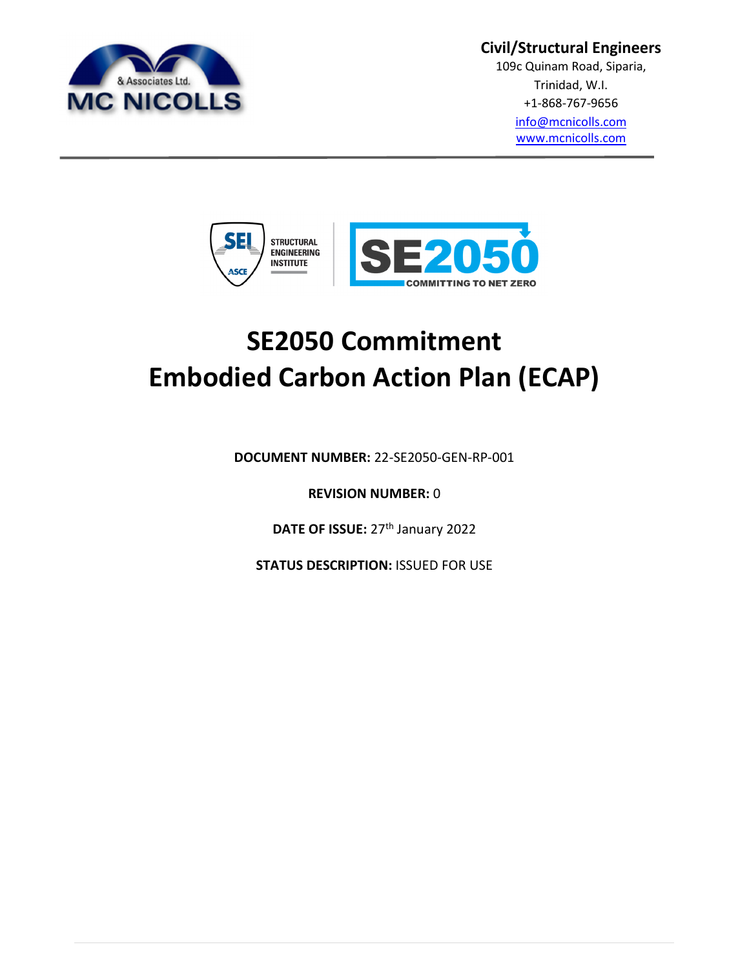

#### **Civil/Structural Engineers**

109c Quinam Road, Siparia, Trinidad, W.I. +1-868-767-9656 info@mcnicolls.com

www.mcnicolls.com



# **SE2050 Commitment Embodied Carbon Action Plan (ECAP)**

**DOCUMENT NUMBER:** 22-SE2050-GEN-RP-001

**REVISION NUMBER:** 0

**DATE OF ISSUE: 27<sup>th</sup> January 2022** 

**STATUS DESCRIPTION: ISSUED FOR USE**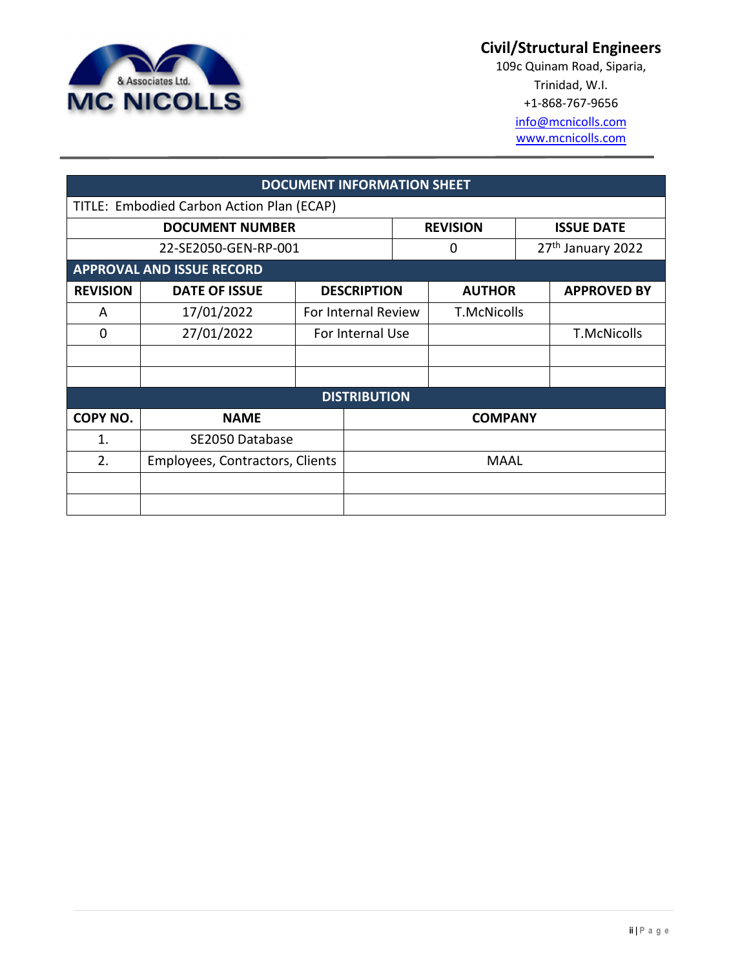

## **Civil/Structural Engineers**

109c Quinam Road, Siparia, Trinidad, W.I. +1-868-767-9656

> info@mcnicolls.com www.mcnicolls.com

| <b>DOCUMENT INFORMATION SHEET</b>         |                                  |                  |                     |                    |                               |  |                    |
|-------------------------------------------|----------------------------------|------------------|---------------------|--------------------|-------------------------------|--|--------------------|
| TITLE: Embodied Carbon Action Plan (ECAP) |                                  |                  |                     |                    |                               |  |                    |
| <b>DOCUMENT NUMBER</b>                    |                                  |                  | <b>REVISION</b>     |                    | <b>ISSUE DATE</b>             |  |                    |
| 22-SE2050-GEN-RP-001                      |                                  |                  | 0                   |                    | 27 <sup>th</sup> January 2022 |  |                    |
|                                           | <b>APPROVAL AND ISSUE RECORD</b> |                  |                     |                    |                               |  |                    |
| <b>REVISION</b>                           | <b>DATE OF ISSUE</b>             |                  | <b>DESCRIPTION</b>  | <b>AUTHOR</b>      |                               |  | <b>APPROVED BY</b> |
| A                                         | 17/01/2022                       |                  | For Internal Review | <b>T.McNicolls</b> |                               |  |                    |
| 0                                         | 27/01/2022                       | For Internal Use |                     |                    |                               |  | <b>T.McNicolls</b> |
|                                           |                                  |                  |                     |                    |                               |  |                    |
|                                           |                                  |                  |                     |                    |                               |  |                    |
|                                           | <b>DISTRIBUTION</b>              |                  |                     |                    |                               |  |                    |
| COPY NO.                                  | <b>NAME</b>                      |                  | <b>COMPANY</b>      |                    |                               |  |                    |
| 1.                                        | SE2050 Database                  |                  |                     |                    |                               |  |                    |
| 2.                                        | Employees, Contractors, Clients  |                  | <b>MAAL</b>         |                    |                               |  |                    |
|                                           |                                  |                  |                     |                    |                               |  |                    |
|                                           |                                  |                  |                     |                    |                               |  |                    |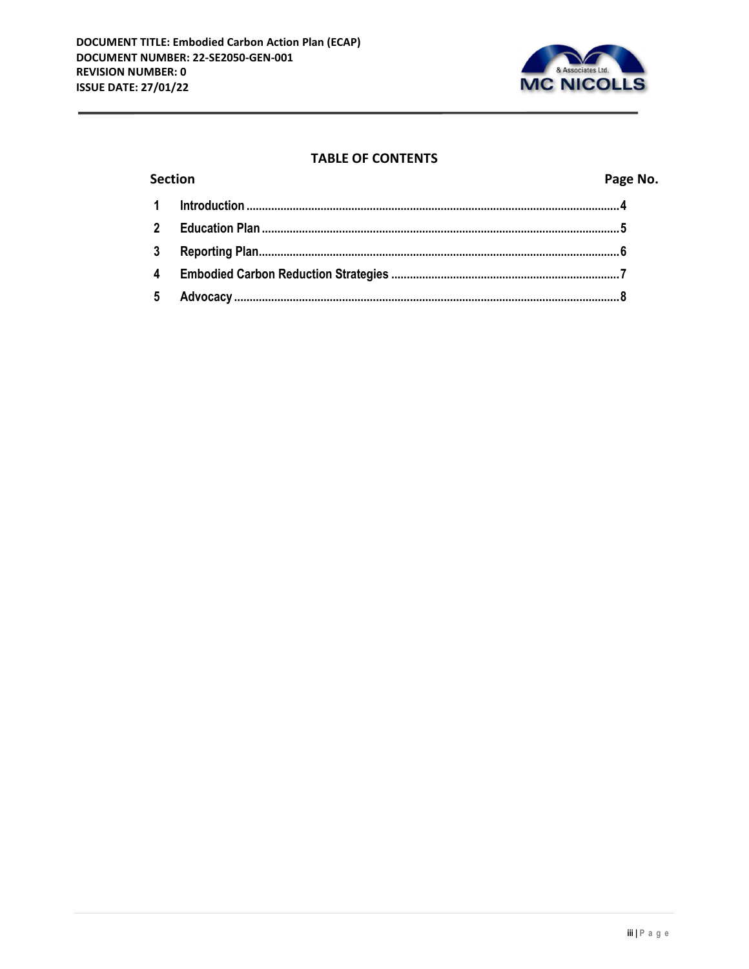

#### **TABLE OF CONTENTS**

| <b>Section</b>          |  | Page No. |
|-------------------------|--|----------|
|                         |  |          |
| $\overline{\mathbf{2}}$ |  |          |
| 3                       |  |          |
|                         |  |          |
| 5 <sup>5</sup>          |  |          |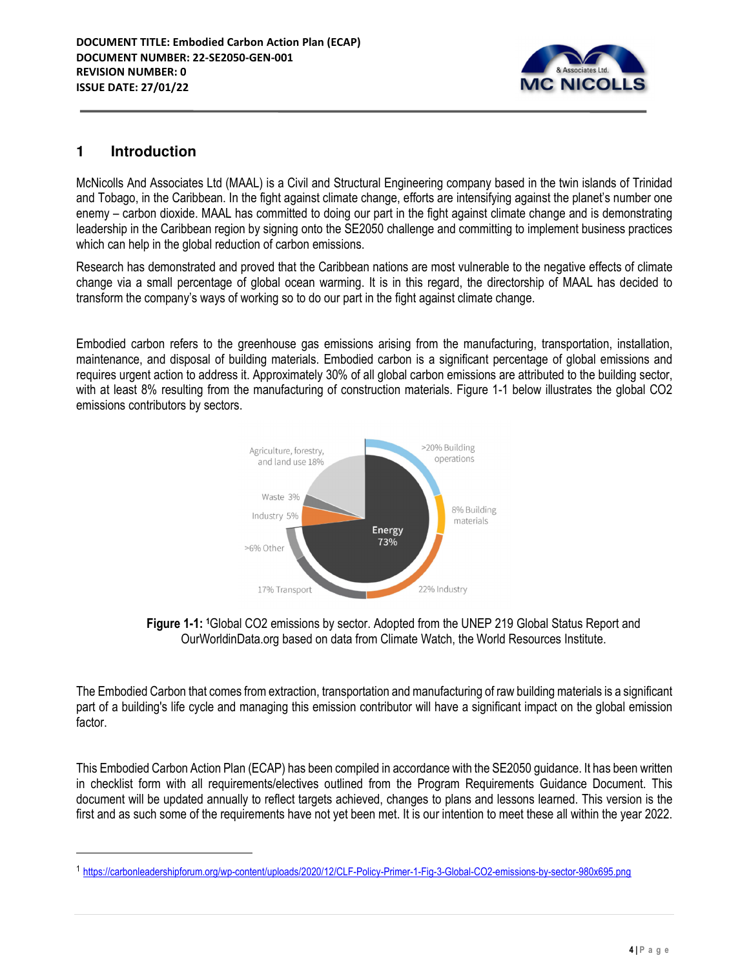

#### **1 Introduction**

 $\overline{a}$ 

McNicolls And Associates Ltd (MAAL) is a Civil and Structural Engineering company based in the twin islands of Trinidad and Tobago, in the Caribbean. In the fight against climate change, efforts are intensifying against the planet's number one enemy – carbon dioxide. MAAL has committed to doing our part in the fight against climate change and is demonstrating leadership in the Caribbean region by signing onto the SE2050 challenge and committing to implement business practices which can help in the global reduction of carbon emissions.

Research has demonstrated and proved that the Caribbean nations are most vulnerable to the negative effects of climate change via a small percentage of global ocean warming. It is in this regard, the directorship of MAAL has decided to transform the company's ways of working so to do our part in the fight against climate change.

Embodied carbon refers to the greenhouse gas emissions arising from the manufacturing, transportation, installation, maintenance, and disposal of building materials. Embodied carbon is a significant percentage of global emissions and requires urgent action to address it. Approximately 30% of all global carbon emissions are attributed to the building sector, with at least 8% resulting from the manufacturing of construction materials. Figure 1-1 below illustrates the global CO2 emissions contributors by sectors.



**Figure 1-1: 1**Global CO2 emissions by sector. Adopted from the UNEP 219 Global Status Report and OurWorldinData.org based on data from Climate Watch, the World Resources Institute.

The Embodied Carbon that comes from extraction, transportation and manufacturing of raw building materials is a significant part of a building's life cycle and managing this emission contributor will have a significant impact on the global emission factor.

This Embodied Carbon Action Plan (ECAP) has been compiled in accordance with the SE2050 guidance. It has been written in checklist form with all requirements/electives outlined from the Program Requirements Guidance Document. This document will be updated annually to reflect targets achieved, changes to plans and lessons learned. This version is the first and as such some of the requirements have not yet been met. It is our intention to meet these all within the year 2022.

<sup>1</sup> https://carbonleadershipforum.org/wp-content/uploads/2020/12/CLF-Policy-Primer-1-Fig-3-Global-CO2-emissions-by-sector-980x695.png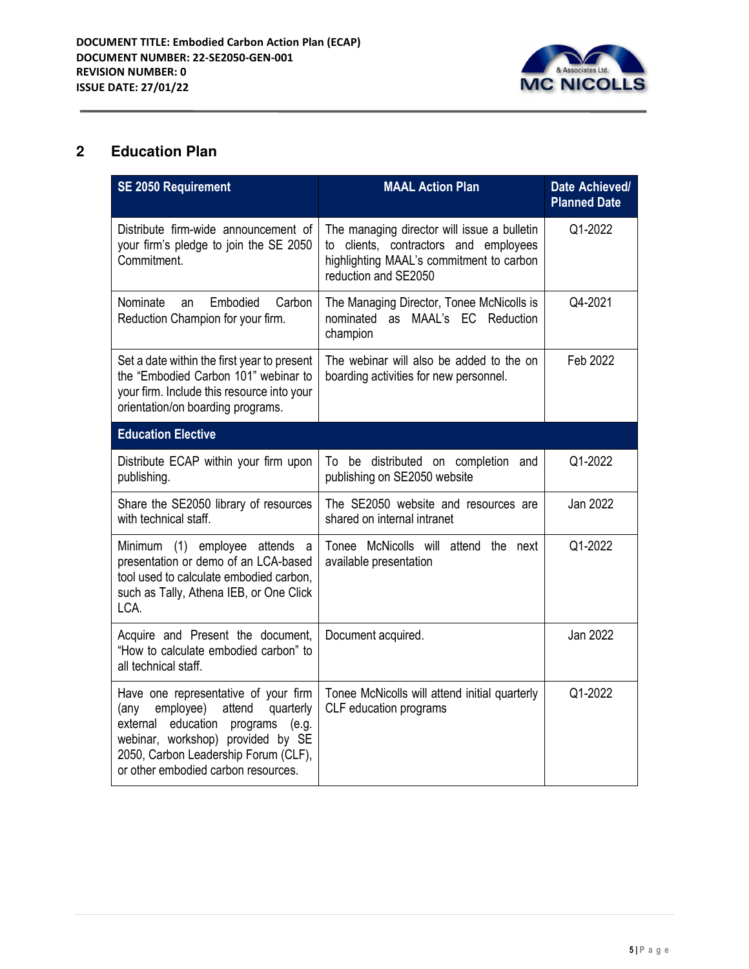

## **2 Education Plan**

| <b>SE 2050 Requirement</b>                                                                                                                                                                                                                      | <b>MAAL Action Plan</b>                                                                                                                                  | Date Achieved/<br><b>Planned Date</b> |
|-------------------------------------------------------------------------------------------------------------------------------------------------------------------------------------------------------------------------------------------------|----------------------------------------------------------------------------------------------------------------------------------------------------------|---------------------------------------|
| Distribute firm-wide announcement of<br>your firm's pledge to join the SE 2050<br>Commitment.                                                                                                                                                   | The managing director will issue a bulletin<br>to clients, contractors and employees<br>highlighting MAAL's commitment to carbon<br>reduction and SE2050 | Q1-2022                               |
| Nominate<br>Embodied<br>Carbon<br>an<br>Reduction Champion for your firm.                                                                                                                                                                       | The Managing Director, Tonee McNicolls is<br>nominated as MAAL's EC Reduction<br>champion                                                                | Q4-2021                               |
| Set a date within the first year to present<br>the "Embodied Carbon 101" webinar to<br>your firm. Include this resource into your<br>orientation/on boarding programs.                                                                          | The webinar will also be added to the on<br>boarding activities for new personnel.                                                                       | Feb 2022                              |
| <b>Education Elective</b>                                                                                                                                                                                                                       |                                                                                                                                                          |                                       |
| Distribute ECAP within your firm upon<br>publishing.                                                                                                                                                                                            | To be distributed on completion and<br>publishing on SE2050 website                                                                                      | Q1-2022                               |
| Share the SE2050 library of resources<br>with technical staff.                                                                                                                                                                                  | The SE2050 website and resources are<br>shared on internal intranet                                                                                      | Jan 2022                              |
| Minimum (1) employee attends a<br>presentation or demo of an LCA-based<br>tool used to calculate embodied carbon,<br>such as Tally, Athena IEB, or One Click<br>LCA.                                                                            | Tonee McNicolls will attend the next<br>available presentation                                                                                           | Q1-2022                               |
| Acquire and Present the document,<br>"How to calculate embodied carbon" to<br>all technical staff.                                                                                                                                              | Document acquired.                                                                                                                                       | Jan 2022                              |
| Have one representative of your firm<br>employee)<br>attend<br>quarterly<br>(any<br>education<br>external<br>programs (e.g.<br>webinar, workshop) provided by SE<br>2050, Carbon Leadership Forum (CLF),<br>or other embodied carbon resources. | Tonee McNicolls will attend initial quarterly<br>CLF education programs                                                                                  | Q1-2022                               |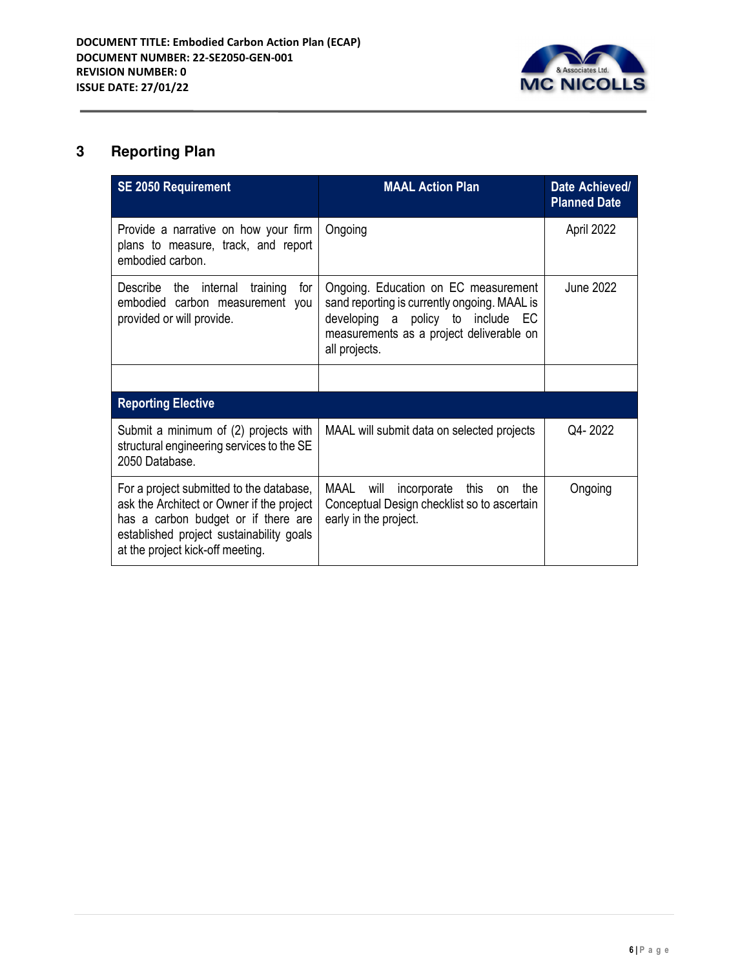

# **3 Reporting Plan**

| <b>SE 2050 Requirement</b>                                                                                                                                                                                   | <b>MAAL Action Plan</b>                                                                                                                                                                | Date Achieved/<br><b>Planned Date</b> |
|--------------------------------------------------------------------------------------------------------------------------------------------------------------------------------------------------------------|----------------------------------------------------------------------------------------------------------------------------------------------------------------------------------------|---------------------------------------|
| Provide a narrative on how your firm<br>plans to measure, track, and report<br>embodied carbon.                                                                                                              | Ongoing                                                                                                                                                                                | April 2022                            |
| Describe the internal<br>training<br>for<br>embodied carbon measurement you<br>provided or will provide.                                                                                                     | Ongoing. Education on EC measurement<br>sand reporting is currently ongoing. MAAL is<br>developing a policy to include EC<br>measurements as a project deliverable on<br>all projects. | June 2022                             |
|                                                                                                                                                                                                              |                                                                                                                                                                                        |                                       |
| <b>Reporting Elective</b>                                                                                                                                                                                    |                                                                                                                                                                                        |                                       |
| Submit a minimum of (2) projects with<br>structural engineering services to the SE<br>2050 Database.                                                                                                         | MAAL will submit data on selected projects                                                                                                                                             | Q4-2022                               |
| For a project submitted to the database,<br>ask the Architect or Owner if the project<br>has a carbon budget or if there are<br>established project sustainability goals<br>at the project kick-off meeting. | MAAL<br>will<br>incorporate this<br>the<br><b>on</b><br>Conceptual Design checklist so to ascertain<br>early in the project.                                                           | Ongoing                               |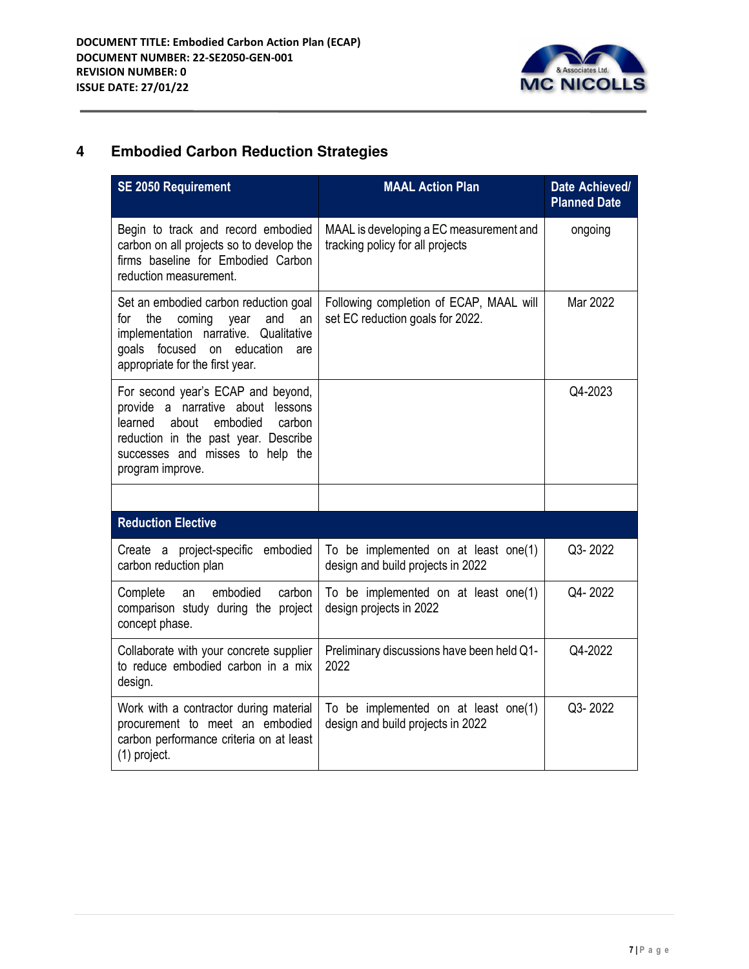

# **4 Embodied Carbon Reduction Strategies**

| <b>SE 2050 Requirement</b>                                                                                                                                                                                        | <b>MAAL Action Plan</b>                                                     | Date Achieved/<br><b>Planned Date</b> |
|-------------------------------------------------------------------------------------------------------------------------------------------------------------------------------------------------------------------|-----------------------------------------------------------------------------|---------------------------------------|
| Begin to track and record embodied<br>carbon on all projects so to develop the<br>firms baseline for Embodied Carbon<br>reduction measurement.                                                                    | MAAL is developing a EC measurement and<br>tracking policy for all projects | ongoing                               |
| Set an embodied carbon reduction goal<br>for<br>the<br>coming<br>and<br>year<br>an<br>implementation narrative.<br>Qualitative<br>focused on<br>education<br>goals<br>are<br>appropriate for the first year.      | Following completion of ECAP, MAAL will<br>set EC reduction goals for 2022. | Mar 2022                              |
| For second year's ECAP and beyond,<br>provide a narrative about lessons<br>learned<br>about<br>embodied<br>carbon<br>reduction in the past year. Describe<br>successes and misses to help the<br>program improve. |                                                                             | Q4-2023                               |
|                                                                                                                                                                                                                   |                                                                             |                                       |
| <b>Reduction Elective</b>                                                                                                                                                                                         |                                                                             |                                       |
| Create a project-specific embodied<br>carbon reduction plan                                                                                                                                                       | To be implemented on at least one(1)<br>design and build projects in 2022   | Q3-2022                               |
| embodied<br>Complete<br>carbon<br>an<br>comparison study during the project<br>concept phase.                                                                                                                     | To be implemented on at least one(1)<br>design projects in 2022             | Q4-2022                               |
| Collaborate with your concrete supplier<br>to reduce embodied carbon in a mix<br>design.                                                                                                                          | Preliminary discussions have been held Q1-<br>2022                          | Q4-2022                               |
| Work with a contractor during material<br>procurement to meet an embodied<br>carbon performance criteria on at least<br>(1) project.                                                                              | To be implemented on at least one(1)<br>design and build projects in 2022   | Q3-2022                               |